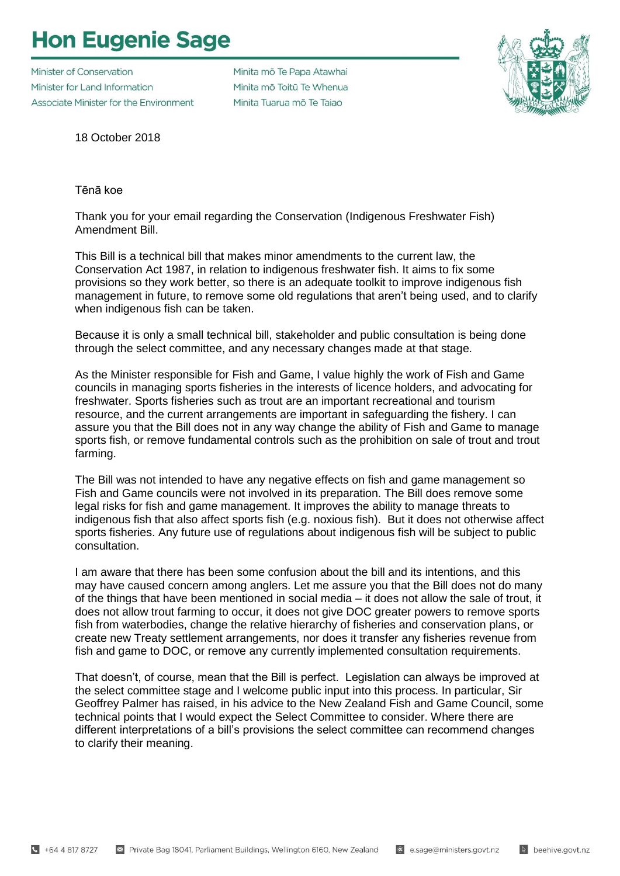## **Hon Eugenie Sage**

Minister of Conservation Minister for Land Information Associate Minister for the Environment Minita mō Te Papa Atawhai Minita mõ Toitū Te Whenua Minita Tuarua mõ Te Taiao



18 October 2018

Tēnā koe

Thank you for your email regarding the Conservation (Indigenous Freshwater Fish) Amendment Bill.

This Bill is a technical bill that makes minor amendments to the current law, the Conservation Act 1987, in relation to indigenous freshwater fish. It aims to fix some provisions so they work better, so there is an adequate toolkit to improve indigenous fish management in future, to remove some old regulations that aren't being used, and to clarify when indigenous fish can be taken.

Because it is only a small technical bill, stakeholder and public consultation is being done through the select committee, and any necessary changes made at that stage.

As the Minister responsible for Fish and Game, I value highly the work of Fish and Game councils in managing sports fisheries in the interests of licence holders, and advocating for freshwater. Sports fisheries such as trout are an important recreational and tourism resource, and the current arrangements are important in safeguarding the fishery. I can assure you that the Bill does not in any way change the ability of Fish and Game to manage sports fish, or remove fundamental controls such as the prohibition on sale of trout and trout farming.

The Bill was not intended to have any negative effects on fish and game management so Fish and Game councils were not involved in its preparation. The Bill does remove some legal risks for fish and game management. It improves the ability to manage threats to indigenous fish that also affect sports fish (e.g. noxious fish). But it does not otherwise affect sports fisheries. Any future use of regulations about indigenous fish will be subject to public consultation.

I am aware that there has been some confusion about the bill and its intentions, and this may have caused concern among anglers. Let me assure you that the Bill does not do many of the things that have been mentioned in social media – it does not allow the sale of trout, it does not allow trout farming to occur, it does not give DOC greater powers to remove sports fish from waterbodies, change the relative hierarchy of fisheries and conservation plans, or create new Treaty settlement arrangements, nor does it transfer any fisheries revenue from fish and game to DOC, or remove any currently implemented consultation requirements.

That doesn't, of course, mean that the Bill is perfect. Legislation can always be improved at the select committee stage and I welcome public input into this process. In particular, Sir Geoffrey Palmer has raised, in his advice to the New Zealand Fish and Game Council, some technical points that I would expect the Select Committee to consider. Where there are different interpretations of a bill's provisions the select committee can recommend changes to clarify their meaning.